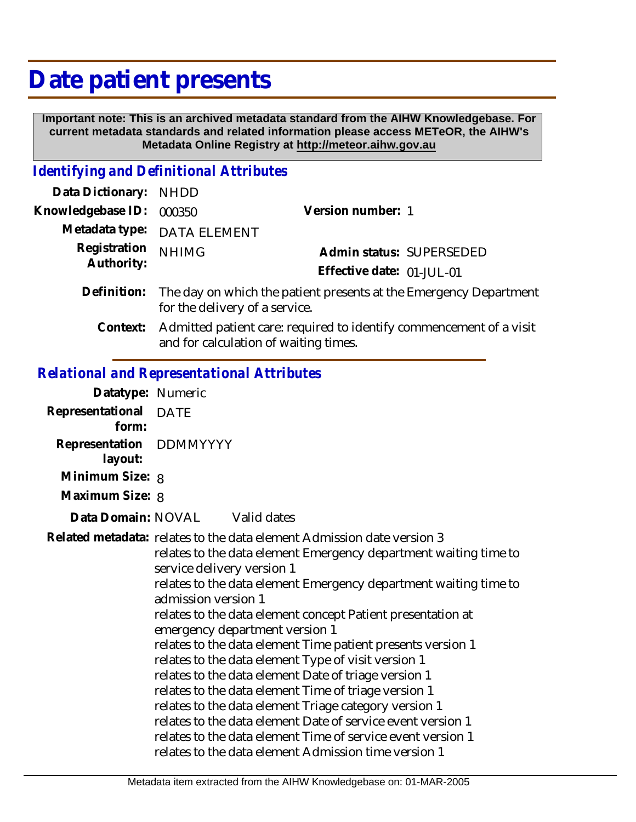## **Date patient presents**

 **Important note: This is an archived metadata standard from the AIHW Knowledgebase. For current metadata standards and related information please access METeOR, the AIHW's Metadata Online Registry at http://meteor.aihw.gov.au**

## *Identifying and Definitional Attributes*

| Data Dictionary: NHDD      |                                                                               |                           |                          |
|----------------------------|-------------------------------------------------------------------------------|---------------------------|--------------------------|
| Knowledgebase ID: 000350   |                                                                               | Version number: 1         |                          |
|                            | Metadata type: DATA ELEMENT                                                   |                           |                          |
| Registration<br>Authority: | <b>NHIMG</b>                                                                  |                           | Admin status: SUPERSEDED |
|                            |                                                                               | Effective date: 01-JUL-01 |                          |
|                            | Definition: The day on which the patient presents at the Emergency Department |                           |                          |

and for calculation of waiting times.

for the delivery of a service. Admitted patient care: required to identify commencement of a visit **Context:**

## *Relational and Representational Attributes*

| Datatype: Numeric                  |                                                                                                                                                                                                                                                                                                                                                                                                                                                                                                                                                                                                                                                                                                                                                                                                                                                           |  |
|------------------------------------|-----------------------------------------------------------------------------------------------------------------------------------------------------------------------------------------------------------------------------------------------------------------------------------------------------------------------------------------------------------------------------------------------------------------------------------------------------------------------------------------------------------------------------------------------------------------------------------------------------------------------------------------------------------------------------------------------------------------------------------------------------------------------------------------------------------------------------------------------------------|--|
| Representational DATE<br>form:     |                                                                                                                                                                                                                                                                                                                                                                                                                                                                                                                                                                                                                                                                                                                                                                                                                                                           |  |
| Representation DDMMYYYY<br>layout: |                                                                                                                                                                                                                                                                                                                                                                                                                                                                                                                                                                                                                                                                                                                                                                                                                                                           |  |
| Minimum Size: 8                    |                                                                                                                                                                                                                                                                                                                                                                                                                                                                                                                                                                                                                                                                                                                                                                                                                                                           |  |
| Maximum Size: 8                    |                                                                                                                                                                                                                                                                                                                                                                                                                                                                                                                                                                                                                                                                                                                                                                                                                                                           |  |
| Data Domain: NOVAL                 | Valid dates                                                                                                                                                                                                                                                                                                                                                                                                                                                                                                                                                                                                                                                                                                                                                                                                                                               |  |
|                                    | Related metadata: relates to the data element Admission date version 3<br>relates to the data element Emergency department waiting time to<br>service delivery version 1<br>relates to the data element Emergency department waiting time to<br>admission version 1<br>relates to the data element concept Patient presentation at<br>emergency department version 1<br>relates to the data element Time patient presents version 1<br>relates to the data element Type of visit version 1<br>relates to the data element Date of triage version 1<br>relates to the data element Time of triage version 1<br>relates to the data element Triage category version 1<br>relates to the data element Date of service event version 1<br>relates to the data element Time of service event version 1<br>relates to the data element Admission time version 1 |  |